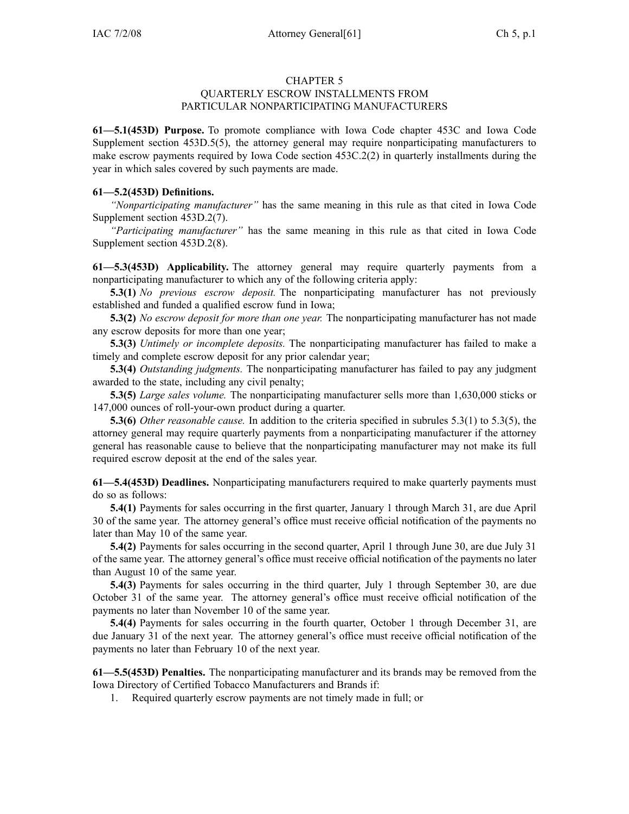## CHAPTER 5

## QUARTERLY ESCROW INSTALLMENTS FROM PARTICULAR NONPARTICIPATING MANUFACTURERS

**61—5.1(453D) Purpose.** To promote compliance with Iowa Code chapter 453C and Iowa Code Supplement section 453D.5(5), the attorney general may require nonparticipating manufacturers to make escrow payments required by Iowa Code section 453C.2(2) in quarterly installments during the year in which sales covered by such payments are made.

## **61—5.2(453D) Definitions.**

*"Nonparticipating manufacturer"* has the same meaning in this rule as that cited in Iowa Code Supplement section 453D.2(7).

*"Participating manufacturer"* has the same meaning in this rule as that cited in Iowa Code Supplement section 453D.2(8).

**61—5.3(453D) Applicability.** The attorney general may require quarterly payments from <sup>a</sup> nonparticipating manufacturer to which any of the following criteria apply:

**5.3(1)** *No previous escrow deposit.* The nonparticipating manufacturer has not previously established and funded <sup>a</sup> qualified escrow fund in Iowa;

**5.3(2)** *No escrow deposit for more than one year.* The nonparticipating manufacturer has not made any escrow deposits for more than one year;

**5.3(3)** *Untimely or incomplete deposits.* The nonparticipating manufacturer has failed to make <sup>a</sup> timely and complete escrow deposit for any prior calendar year;

**5.3(4)** *Outstanding judgments.* The nonparticipating manufacturer has failed to pay any judgment awarded to the state, including any civil penalty;

**5.3(5)** *Large sales volume.* The nonparticipating manufacturer sells more than 1,630,000 sticks or 147,000 ounces of roll-your-own product during <sup>a</sup> quarter.

**5.3(6)** *Other reasonable cause.* In addition to the criteria specified in subrules 5.3(1) to 5.3(5), the attorney general may require quarterly payments from <sup>a</sup> nonparticipating manufacturer if the attorney general has reasonable cause to believe that the nonparticipating manufacturer may not make its full required escrow deposit at the end of the sales year.

**61—5.4(453D) Deadlines.** Nonparticipating manufacturers required to make quarterly payments must do so as follows:

**5.4(1)** Payments for sales occurring in the first quarter, January 1 through March 31, are due April 30 of the same year. The attorney general's office must receive official notification of the payments no later than May 10 of the same year.

**5.4(2)** Payments for sales occurring in the second quarter, April 1 through June 30, are due July 31 of the same year. The attorney general's office must receive official notification of the payments no later than August 10 of the same year.

**5.4(3)** Payments for sales occurring in the third quarter, July 1 through September 30, are due October 31 of the same year. The attorney general's office must receive official notification of the payments no later than November 10 of the same year.

**5.4(4)** Payments for sales occurring in the fourth quarter, October 1 through December 31, are due January 31 of the next year. The attorney general's office must receive official notification of the payments no later than February 10 of the next year.

**61—5.5(453D) Penalties.** The nonparticipating manufacturer and its brands may be removed from the Iowa Directory of Certified Tobacco Manufacturers and Brands if:

1. Required quarterly escrow payments are not timely made in full; or